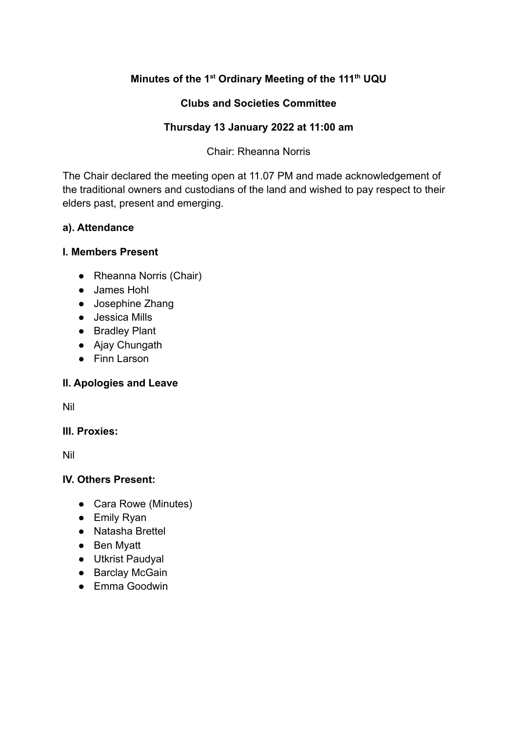# Minutes of the 1<sup>st</sup> Ordinary Meeting of the 111<sup>th</sup> UQU

## **Clubs and Societies Committee**

## Thursday 13 January 2022 at 11:00 am

## **Chair: Rheanna Norris**

The Chair declared the meeting open at 11.07 PM and made acknowledgement of the traditional owners and custodians of the land and wished to pay respect to their elders past, present and emerging.

## a). Attendance

#### **I. Members Present**

- Rheanna Norris (Chair)
- James Hohl
- Josephine Zhang
- Jessica Mills
- Bradley Plant
- Ajay Chungath
- Finn Larson

## II. Apologies and Leave

**Nil** 

## III. Proxies:

**Nil** 

## IV. Others Present:

- Cara Rowe (Minutes)
- $\bullet$  Emily Ryan
- Natasha Brettel
- Ben Myatt
- Utkrist Paudyal
- Barclay McGain
- Emma Goodwin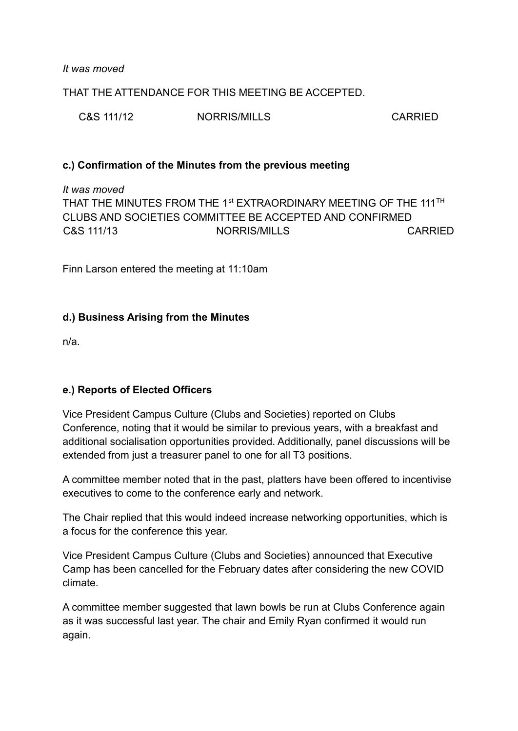It was moved

THAT THE ATTENDANCE FOR THIS MEETING BE ACCEPTED

C&S 111/12 NORRIS/MILLS CARRIED

## c.) Confirmation of the Minutes from the previous meeting

It was moved THAT THE MINUTES FROM THE 1<sup>st</sup> EXTRAORDINARY MEETING OF THE 111<sup>TH</sup> CLUBS AND SOCIETIES COMMITTEE BE ACCEPTED AND CONFIRMED. C&S 111/13 NORRIS/MILLS **CARRIED** 

Finn Larson entered the meeting at 11:10am

## d.) Business Arising from the Minutes

 $n/a$ 

## e.) Reports of Elected Officers

Vice President Campus Culture (Clubs and Societies) reported on Clubs Conference, noting that it would be similar to previous years, with a breakfast and additional socialisation opportunities provided. Additionally, panel discussions will be extended from just a treasurer panel to one for all T3 positions.

A committee member noted that in the past, platters have been offered to incentivise executives to come to the conference early and network.

The Chair replied that this would indeed increase networking opportunities, which is a focus for the conference this year.

Vice President Campus Culture (Clubs and Societies) announced that Executive Camp has been cancelled for the February dates after considering the new COVID climate

A committee member suggested that lawn bowls be run at Clubs Conference again as it was successful last year. The chair and Emily Ryan confirmed it would run again.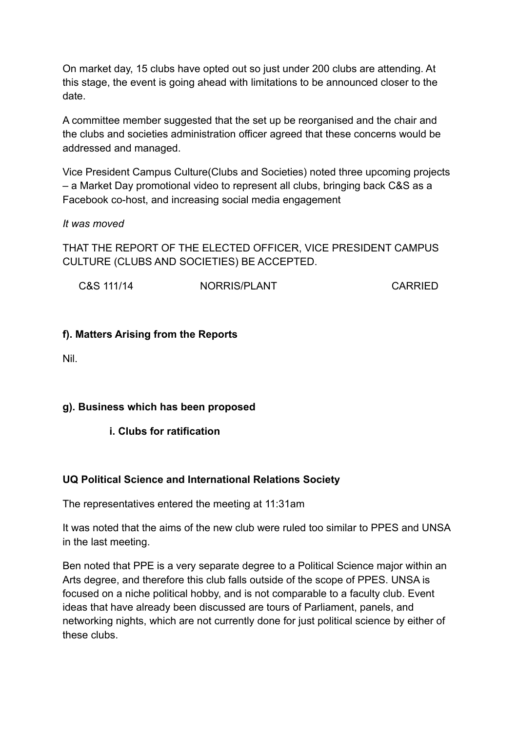On market day, 15 clubs have opted out so just under 200 clubs are attending. At this stage, the event is going ahead with limitations to be announced closer to the date

A committee member suggested that the set up be reorganised and the chair and the clubs and societies administration officer agreed that these concerns would be addressed and managed.

Vice President Campus Culture (Clubs and Societies) noted three upcoming projects - a Market Day promotional video to represent all clubs, bringing back C&S as a Facebook co-host, and increasing social media engagement

It was moved

THAT THE REPORT OF THE ELECTED OFFICER, VICE PRESIDENT CAMPUS CULTURE (CLUBS AND SOCIETIES) BE ACCEPTED.

C&S 111/14 NORRIS/PLANT CARRIED

## f). Matters Arising from the Reports

**Nil** 

## g). Business which has been proposed

## i. Clubs for ratification

## **UQ Political Science and International Relations Society**

The representatives entered the meeting at 11:31am

It was noted that the aims of the new club were ruled too similar to PPES and UNSA in the last meeting.

Ben noted that PPE is a very separate degree to a Political Science major within an Arts degree, and therefore this club falls outside of the scope of PPES. UNSA is focused on a niche political hobby, and is not comparable to a faculty club. Event ideas that have already been discussed are tours of Parliament, panels, and networking nights, which are not currently done for just political science by either of these clubs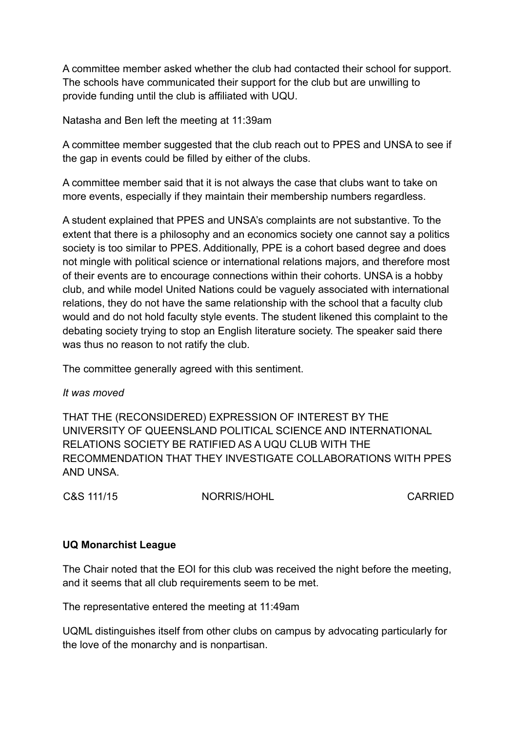A committee member asked whether the club had contacted their school for support. The schools have communicated their support for the club but are unwilling to provide funding until the club is affiliated with UQU.

Natasha and Ben left the meeting at 11:39am

A committee member suggested that the club reach out to PPES and UNSA to see if the gap in events could be filled by either of the clubs.

A committee member said that it is not always the case that clubs want to take on more events, especially if they maintain their membership numbers regardless.

A student explained that PPES and UNSA's complaints are not substantive. To the extent that there is a philosophy and an economics society one cannot say a politics society is too similar to PPES. Additionally, PPE is a cohort based degree and does not mingle with political science or international relations majors, and therefore most of their events are to encourage connections within their cohorts. UNSA is a hobby club, and while model United Nations could be vaguely associated with international relations, they do not have the same relationship with the school that a faculty club would and do not hold faculty style events. The student likened this complaint to the debating society trying to stop an English literature society. The speaker said there was thus no reason to not ratify the club.

The committee generally agreed with this sentiment.

#### It was moved

THAT THE (RECONSIDERED) EXPRESSION OF INTEREST BY THE UNIVERSITY OF QUEENSLAND POLITICAL SCIENCE AND INTERNATIONAL RELATIONS SOCIETY BE RATIFIED AS A UQU CLUB WITH THE RECOMMENDATION THAT THEY INVESTIGATE COLLABORATIONS WITH PPES AND UNSA.

C&S 111/15

NORRIS/HOHL

**CARRIED** 

## **UQ Monarchist League**

The Chair noted that the EOI for this club was received the night before the meeting. and it seems that all club requirements seem to be met.

The representative entered the meeting at 11:49am

UQML distinguishes itself from other clubs on campus by advocating particularly for the love of the monarchy and is nonpartisan.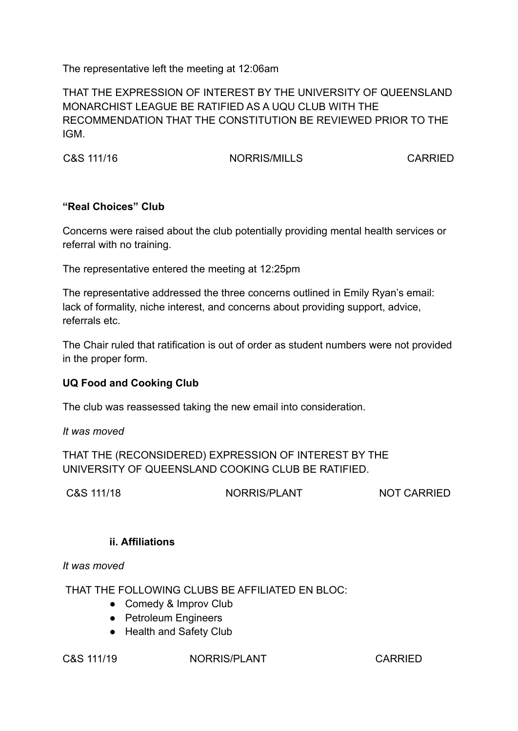The representative left the meeting at 12:06am

THAT THE EXPRESSION OF INTEREST BY THE UNIVERSITY OF QUEENSLAND MONARCHIST LEAGUE BE RATIFIED AS A UOU CLUB WITH THE RECOMMENDATION THAT THE CONSTITUTION BE REVIEWED PRIOR TO THE IGM.

C&S 111/16

NORRIS/MILLS

**CARRIED** 

## "Real Choices" Club

Concerns were raised about the club potentially providing mental health services or referral with no training.

The representative entered the meeting at 12:25pm

The representative addressed the three concerns outlined in Emily Ryan's email: lack of formality, niche interest, and concerns about providing support, advice, referrals etc.

The Chair ruled that ratification is out of order as student numbers were not provided in the proper form.

# **UQ Food and Cooking Club**

The club was reassessed taking the new email into consideration.

It was moved

THAT THE (RECONSIDERED) EXPRESSION OF INTEREST BY THE UNIVERSITY OF QUEENSLAND COOKING CLUB BE RATIFIED.

C&S 111/18

NORRIS/PLANT

NOT CARRIED

## ii. Affiliations

It was moved

THAT THE FOLLOWING CLUBS BE AFFILIATED EN BLOC:

- Comedy & Improv Club
- Petroleum Engineers
- Health and Safety Club

## C&S 111/19

NORRIS/PLANT

**CARRIED**